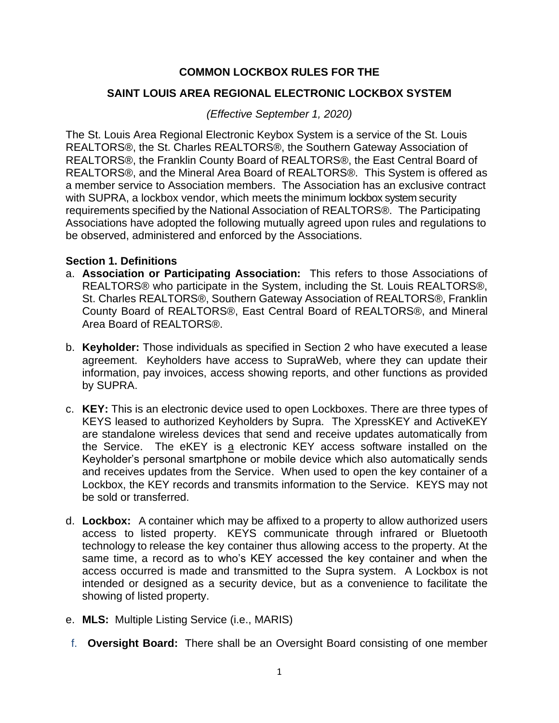# **COMMON LOCKBOX RULES FOR THE**

### **SAINT LOUIS AREA REGIONAL ELECTRONIC LOCKBOX SYSTEM**

### *(Effective September 1, 2020)*

The St. Louis Area Regional Electronic Keybox System is a service of the St. Louis REALTORS®, the St. Charles REALTORS®, the Southern Gateway Association of REALTORS®, the Franklin County Board of REALTORS®, the East Central Board of REALTORS®, and the Mineral Area Board of REALTORS®. This System is offered as a member service to Association members. The Association has an exclusive contract with SUPRA, a lockbox vendor, which meets the minimum lockbox system security requirements specified by the National Association of REALTORS®. The Participating Associations have adopted the following mutually agreed upon rules and regulations to be observed, administered and enforced by the Associations.

#### **Section 1. Definitions**

- a. **Association or Participating Association:** This refers to those Associations of REALTORS® who participate in the System, including the St. Louis REALTORS®, St. Charles REALTORS®, Southern Gateway Association of REALTORS®, Franklin County Board of REALTORS®, East Central Board of REALTORS®, and Mineral Area Board of REALTORS®.
- b. **Keyholder:** Those individuals as specified in Section 2 who have executed a lease agreement. Keyholders have access to SupraWeb, where they can update their information, pay invoices, access showing reports, and other functions as provided by SUPRA.
- c. **KEY:** This is an electronic device used to open Lockboxes. There are three types of KEYS leased to authorized Keyholders by Supra. The XpressKEY and ActiveKEY are standalone wireless devices that send and receive updates automatically from the Service. The eKEY is a electronic KEY access software installed on the Keyholder's personal smartphone or mobile device which also automatically sends and receives updates from the Service. When used to open the key container of a Lockbox, the KEY records and transmits information to the Service. KEYS may not be sold or transferred.
- d. **Lockbox:** A container which may be affixed to a property to allow authorized users access to listed property. KEYS communicate through infrared or Bluetooth technology to release the key container thus allowing access to the property. At the same time, a record as to who's KEY accessed the key container and when the access occurred is made and transmitted to the Supra system. A Lockbox is not intended or designed as a security device, but as a convenience to facilitate the showing of listed property.
- e. **MLS:** Multiple Listing Service (i.e., MARIS)
- f. **Oversight Board:** There shall be an Oversight Board consisting of one member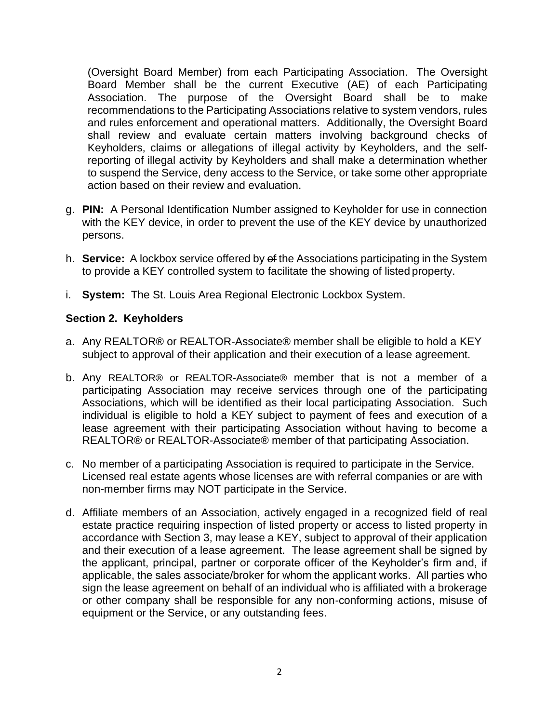(Oversight Board Member) from each Participating Association. The Oversight Board Member shall be the current Executive (AE) of each Participating Association. The purpose of the Oversight Board shall be to make recommendations to the Participating Associations relative to system vendors, rules and rules enforcement and operational matters. Additionally, the Oversight Board shall review and evaluate certain matters involving background checks of Keyholders, claims or allegations of illegal activity by Keyholders, and the selfreporting of illegal activity by Keyholders and shall make a determination whether to suspend the Service, deny access to the Service, or take some other appropriate action based on their review and evaluation.

- g. **PIN:** A Personal Identification Number assigned to Keyholder for use in connection with the KEY device, in order to prevent the use of the KEY device by unauthorized persons.
- h. **Service:** A lockbox service offered by of the Associations participating in the System to provide a KEY controlled system to facilitate the showing of listed property.
- i. **System:** The St. Louis Area Regional Electronic Lockbox System.

# **Section 2. Keyholders**

- a. Any REALTOR® or REALTOR-Associate® member shall be eligible to hold a KEY subject to approval of their application and their execution of a lease agreement.
- b. Any REALTOR® or REALTOR-Associate® member that is not a member of a participating Association may receive services through one of the participating Associations, which will be identified as their local participating Association. Such individual is eligible to hold a KEY subject to payment of fees and execution of a lease agreement with their participating Association without having to become a REALTOR® or REALTOR-Associate® member of that participating Association.
- c. No member of a participating Association is required to participate in the Service. Licensed real estate agents whose licenses are with referral companies or are with non-member firms may NOT participate in the Service.
- d. Affiliate members of an Association, actively engaged in a recognized field of real estate practice requiring inspection of listed property or access to listed property in accordance with Section 3, may lease a KEY, subject to approval of their application and their execution of a lease agreement. The lease agreement shall be signed by the applicant, principal, partner or corporate officer of the Keyholder's firm and, if applicable, the sales associate/broker for whom the applicant works. All parties who sign the lease agreement on behalf of an individual who is affiliated with a brokerage or other company shall be responsible for any non-conforming actions, misuse of equipment or the Service, or any outstanding fees.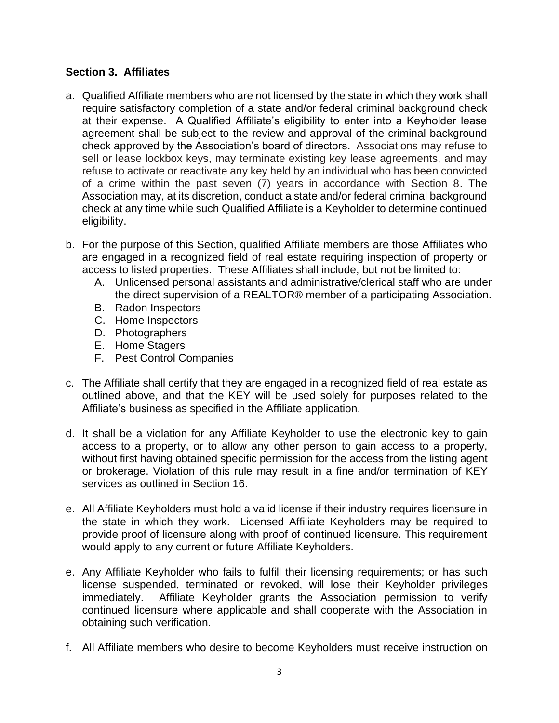# **Section 3. Affiliates**

- a. Qualified Affiliate members who are not licensed by the state in which they work shall require satisfactory completion of a state and/or federal criminal background check at their expense. A Qualified Affiliate's eligibility to enter into a Keyholder lease agreement shall be subject to the review and approval of the criminal background check approved by the Association's board of directors. Associations may refuse to sell or lease lockbox keys, may terminate existing key lease agreements, and may refuse to activate or reactivate any key held by an individual who has been convicted of a crime within the past seven (7) years in accordance with Section 8. The Association may, at its discretion, conduct a state and/or federal criminal background check at any time while such Qualified Affiliate is a Keyholder to determine continued eligibility.
- b. For the purpose of this Section, qualified Affiliate members are those Affiliates who are engaged in a recognized field of real estate requiring inspection of property or access to listed properties. These Affiliates shall include, but not be limited to:
	- A. Unlicensed personal assistants and administrative/clerical staff who are under the direct supervision of a REALTOR® member of a participating Association.
	- B. Radon Inspectors
	- C. Home Inspectors
	- D. Photographers
	- E. Home Stagers
	- F. Pest Control Companies
- c. The Affiliate shall certify that they are engaged in a recognized field of real estate as outlined above, and that the KEY will be used solely for purposes related to the Affiliate's business as specified in the Affiliate application.
- d. It shall be a violation for any Affiliate Keyholder to use the electronic key to gain access to a property, or to allow any other person to gain access to a property, without first having obtained specific permission for the access from the listing agent or brokerage. Violation of this rule may result in a fine and/or termination of KEY services as outlined in Section 16.
- e. All Affiliate Keyholders must hold a valid license if their industry requires licensure in the state in which they work. Licensed Affiliate Keyholders may be required to provide proof of licensure along with proof of continued licensure. This requirement would apply to any current or future Affiliate Keyholders.
- e. Any Affiliate Keyholder who fails to fulfill their licensing requirements; or has such license suspended, terminated or revoked, will lose their Keyholder privileges immediately. Affiliate Keyholder grants the Association permission to verify continued licensure where applicable and shall cooperate with the Association in obtaining such verification.
- f. All Affiliate members who desire to become Keyholders must receive instruction on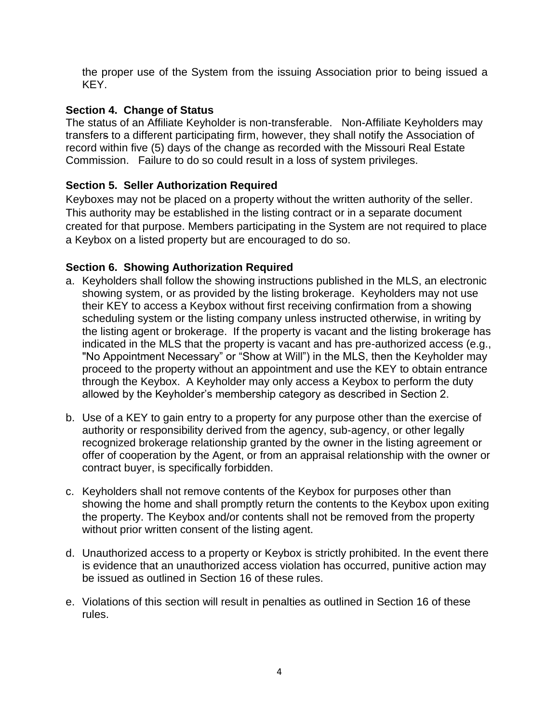the proper use of the System from the issuing Association prior to being issued a KEY.

# **Section 4. Change of Status**

The status of an Affiliate Keyholder is non-transferable. Non-Affiliate Keyholders may transfers to a different participating firm, however, they shall notify the Association of record within five (5) days of the change as recorded with the Missouri Real Estate Commission. Failure to do so could result in a loss of system privileges.

# **Section 5. Seller Authorization Required**

Keyboxes may not be placed on a property without the written authority of the seller. This authority may be established in the listing contract or in a separate document created for that purpose. Members participating in the System are not required to place a Keybox on a listed property but are encouraged to do so.

# **Section 6. Showing Authorization Required**

- a. Keyholders shall follow the showing instructions published in the MLS, an electronic showing system, or as provided by the listing brokerage. Keyholders may not use their KEY to access a Keybox without first receiving confirmation from a showing scheduling system or the listing company unless instructed otherwise, in writing by the listing agent or brokerage. If the property is vacant and the listing brokerage has indicated in the MLS that the property is vacant and has pre-authorized access (e.g., "No Appointment Necessary" or "Show at Will") in the MLS, then the Keyholder may proceed to the property without an appointment and use the KEY to obtain entrance through the Keybox. A Keyholder may only access a Keybox to perform the duty allowed by the Keyholder's membership category as described in Section 2.
- b. Use of a KEY to gain entry to a property for any purpose other than the exercise of authority or responsibility derived from the agency, sub-agency, or other legally recognized brokerage relationship granted by the owner in the listing agreement or offer of cooperation by the Agent, or from an appraisal relationship with the owner or contract buyer, is specifically forbidden.
- c. Keyholders shall not remove contents of the Keybox for purposes other than showing the home and shall promptly return the contents to the Keybox upon exiting the property. The Keybox and/or contents shall not be removed from the property without prior written consent of the listing agent.
- d. Unauthorized access to a property or Keybox is strictly prohibited. In the event there is evidence that an unauthorized access violation has occurred, punitive action may be issued as outlined in Section 16 of these rules.
- e. Violations of this section will result in penalties as outlined in Section 16 of these rules.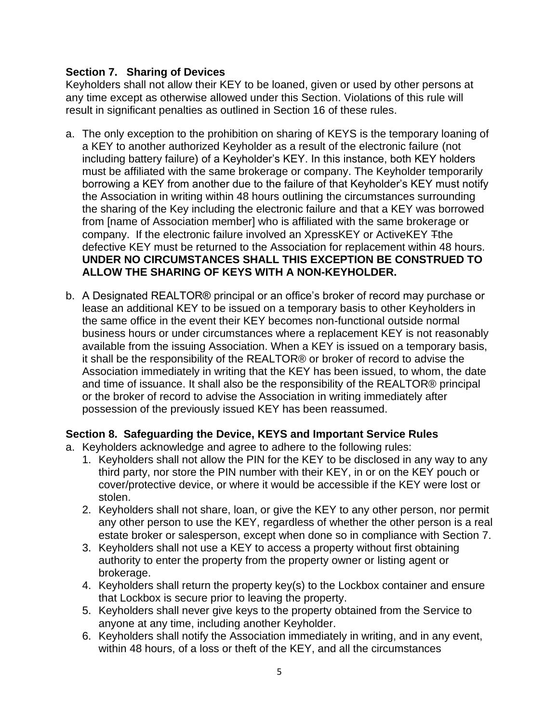## **Section 7. Sharing of Devices**

Keyholders shall not allow their KEY to be loaned, given or used by other persons at any time except as otherwise allowed under this Section. Violations of this rule will result in significant penalties as outlined in Section 16 of these rules.

- a. The only exception to the prohibition on sharing of KEYS is the temporary loaning of a KEY to another authorized Keyholder as a result of the electronic failure (not including battery failure) of a Keyholder's KEY. In this instance, both KEY holders must be affiliated with the same brokerage or company. The Keyholder temporarily borrowing a KEY from another due to the failure of that Keyholder's KEY must notify the Association in writing within 48 hours outlining the circumstances surrounding the sharing of the Key including the electronic failure and that a KEY was borrowed from [name of Association member] who is affiliated with the same brokerage or company. If the electronic failure involved an XpressKEY or ActiveKEY Tthe defective KEY must be returned to the Association for replacement within 48 hours. **UNDER NO CIRCUMSTANCES SHALL THIS EXCEPTION BE CONSTRUED TO ALLOW THE SHARING OF KEYS WITH A NON-KEYHOLDER.**
- b. A Designated REALTOR® principal or an office's broker of record may purchase or lease an additional KEY to be issued on a temporary basis to other Keyholders in the same office in the event their KEY becomes non-functional outside normal business hours or under circumstances where a replacement KEY is not reasonably available from the issuing Association. When a KEY is issued on a temporary basis, it shall be the responsibility of the REALTOR® or broker of record to advise the Association immediately in writing that the KEY has been issued, to whom, the date and time of issuance. It shall also be the responsibility of the REALTOR® principal or the broker of record to advise the Association in writing immediately after possession of the previously issued KEY has been reassumed.

### **Section 8. Safeguarding the Device, KEYS and Important Service Rules**

- a. Keyholders acknowledge and agree to adhere to the following rules:
	- 1. Keyholders shall not allow the PIN for the KEY to be disclosed in any way to any third party, nor store the PIN number with their KEY, in or on the KEY pouch or cover/protective device, or where it would be accessible if the KEY were lost or stolen.
	- 2. Keyholders shall not share, loan, or give the KEY to any other person, nor permit any other person to use the KEY, regardless of whether the other person is a real estate broker or salesperson, except when done so in compliance with Section 7.
	- 3. Keyholders shall not use a KEY to access a property without first obtaining authority to enter the property from the property owner or listing agent or brokerage.
	- 4. Keyholders shall return the property key(s) to the Lockbox container and ensure that Lockbox is secure prior to leaving the property.
	- 5. Keyholders shall never give keys to the property obtained from the Service to anyone at any time, including another Keyholder.
	- 6. Keyholders shall notify the Association immediately in writing, and in any event, within 48 hours, of a loss or theft of the KEY, and all the circumstances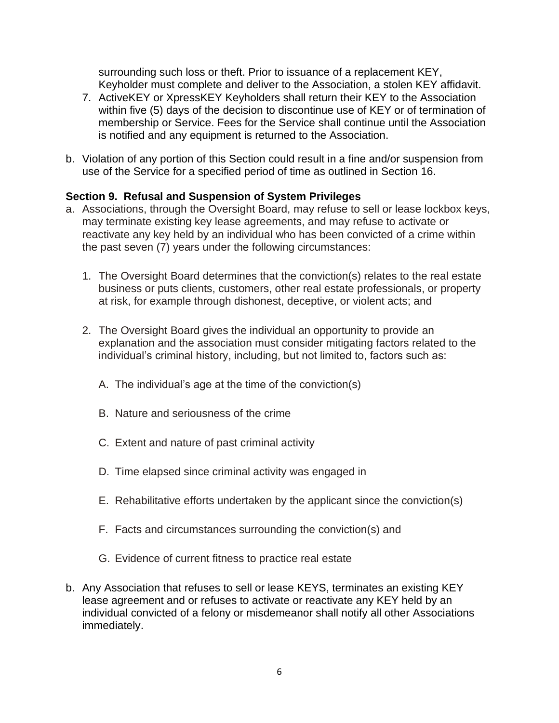surrounding such loss or theft. Prior to issuance of a replacement KEY, Keyholder must complete and deliver to the Association, a stolen KEY affidavit.

- 7. ActiveKEY or XpressKEY Keyholders shall return their KEY to the Association within five (5) days of the decision to discontinue use of KEY or of termination of membership or Service. Fees for the Service shall continue until the Association is notified and any equipment is returned to the Association.
- b. Violation of any portion of this Section could result in a fine and/or suspension from use of the Service for a specified period of time as outlined in Section 16.

# **Section 9. Refusal and Suspension of System Privileges**

- a. Associations, through the Oversight Board, may refuse to sell or lease lockbox keys, may terminate existing key lease agreements, and may refuse to activate or reactivate any key held by an individual who has been convicted of a crime within the past seven (7) years under the following circumstances:
	- 1. The Oversight Board determines that the conviction(s) relates to the real estate business or puts clients, customers, other real estate professionals, or property at risk, for example through dishonest, deceptive, or violent acts; and
	- 2. The Oversight Board gives the individual an opportunity to provide an explanation and the association must consider mitigating factors related to the individual's criminal history, including, but not limited to, factors such as:
		- A. The individual's age at the time of the conviction(s)
		- B. Nature and seriousness of the crime
		- C. Extent and nature of past criminal activity
		- D. Time elapsed since criminal activity was engaged in
		- E. Rehabilitative efforts undertaken by the applicant since the conviction(s)
		- F. Facts and circumstances surrounding the conviction(s) and
		- G. Evidence of current fitness to practice real estate
- b. Any Association that refuses to sell or lease KEYS, terminates an existing KEY lease agreement and or refuses to activate or reactivate any KEY held by an individual convicted of a felony or misdemeanor shall notify all other Associations immediately.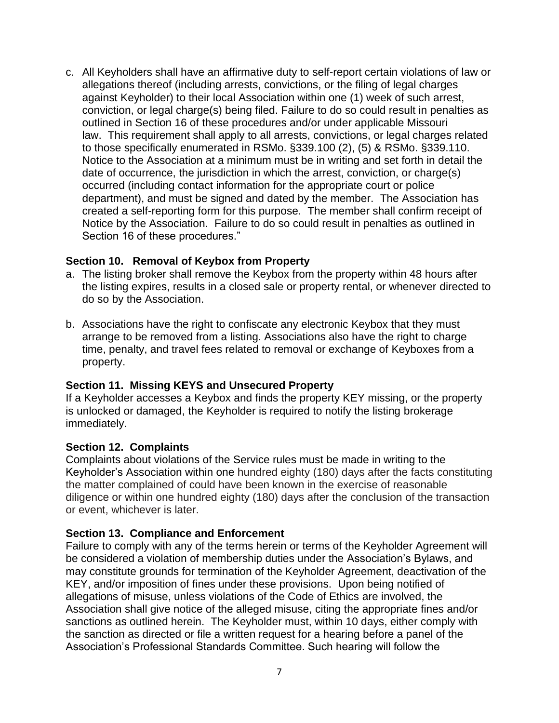c. All Keyholders shall have an affirmative duty to self-report certain violations of law or allegations thereof (including arrests, convictions, or the filing of legal charges against Keyholder) to their local Association within one (1) week of such arrest, conviction, or legal charge(s) being filed. Failure to do so could result in penalties as outlined in Section 16 of these procedures and/or under applicable Missouri law. This requirement shall apply to all arrests, convictions, or legal charges related to those specifically enumerated in RSMo. §339.100 (2), (5) & RSMo. §339.110. Notice to the Association at a minimum must be in writing and set forth in detail the date of occurrence, the jurisdiction in which the arrest, conviction, or charge(s) occurred (including contact information for the appropriate court or police department), and must be signed and dated by the member. The Association has created a self-reporting form for this purpose. The member shall confirm receipt of Notice by the Association. Failure to do so could result in penalties as outlined in Section 16 of these procedures."

#### **Section 10. Removal of Keybox from Property**

- a. The listing broker shall remove the Keybox from the property within 48 hours after the listing expires, results in a closed sale or property rental, or whenever directed to do so by the Association.
- b. Associations have the right to confiscate any electronic Keybox that they must arrange to be removed from a listing. Associations also have the right to charge time, penalty, and travel fees related to removal or exchange of Keyboxes from a property.

### **Section 11. Missing KEYS and Unsecured Property**

If a Keyholder accesses a Keybox and finds the property KEY missing, or the property is unlocked or damaged, the Keyholder is required to notify the listing brokerage immediately.

#### **Section 12. Complaints**

Complaints about violations of the Service rules must be made in writing to the Keyholder's Association within one hundred eighty (180) days after the facts constituting the matter complained of could have been known in the exercise of reasonable diligence or within one hundred eighty (180) days after the conclusion of the transaction or event, whichever is later.

### **Section 13. Compliance and Enforcement**

Failure to comply with any of the terms herein or terms of the Keyholder Agreement will be considered a violation of membership duties under the Association's Bylaws, and may constitute grounds for termination of the Keyholder Agreement, deactivation of the KEY, and/or imposition of fines under these provisions. Upon being notified of allegations of misuse, unless violations of the Code of Ethics are involved, the Association shall give notice of the alleged misuse, citing the appropriate fines and/or sanctions as outlined herein. The Keyholder must, within 10 days, either comply with the sanction as directed or file a written request for a hearing before a panel of the Association's Professional Standards Committee. Such hearing will follow the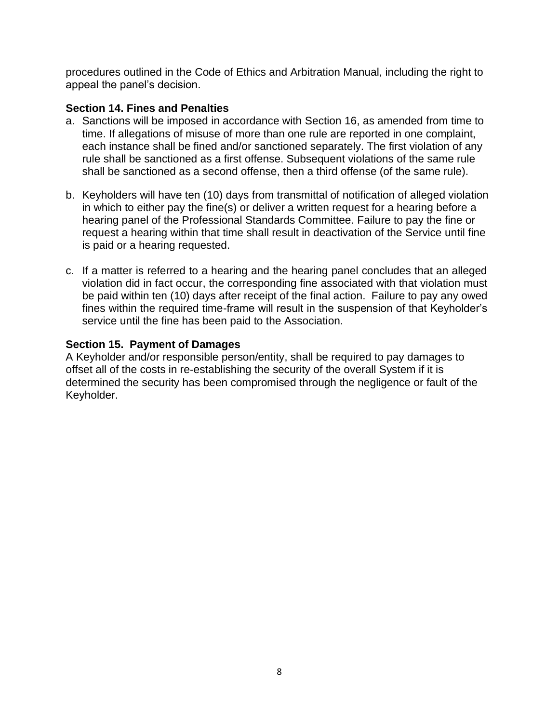procedures outlined in the Code of Ethics and Arbitration Manual, including the right to appeal the panel's decision.

#### **Section 14. Fines and Penalties**

- a. Sanctions will be imposed in accordance with Section 16, as amended from time to time. If allegations of misuse of more than one rule are reported in one complaint, each instance shall be fined and/or sanctioned separately. The first violation of any rule shall be sanctioned as a first offense. Subsequent violations of the same rule shall be sanctioned as a second offense, then a third offense (of the same rule).
- b. Keyholders will have ten (10) days from transmittal of notification of alleged violation in which to either pay the fine(s) or deliver a written request for a hearing before a hearing panel of the Professional Standards Committee. Failure to pay the fine or request a hearing within that time shall result in deactivation of the Service until fine is paid or a hearing requested.
- c. If a matter is referred to a hearing and the hearing panel concludes that an alleged violation did in fact occur, the corresponding fine associated with that violation must be paid within ten (10) days after receipt of the final action. Failure to pay any owed fines within the required time-frame will result in the suspension of that Keyholder's service until the fine has been paid to the Association.

### **Section 15. Payment of Damages**

A Keyholder and/or responsible person/entity, shall be required to pay damages to offset all of the costs in re-establishing the security of the overall System if it is determined the security has been compromised through the negligence or fault of the Keyholder.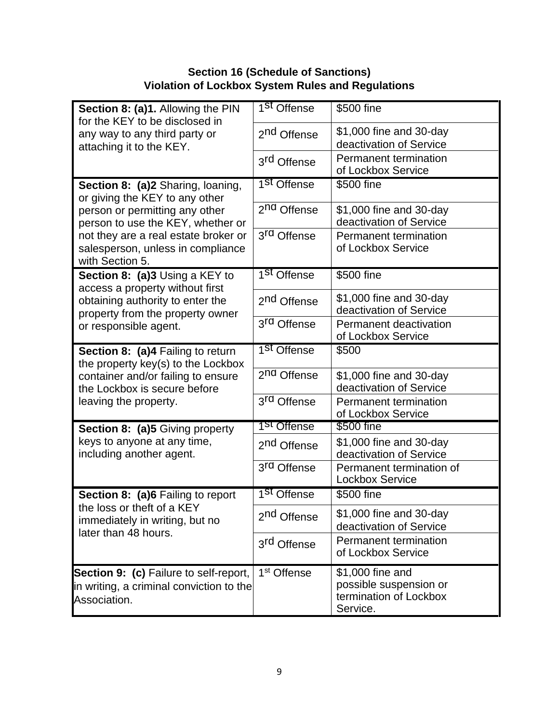# **Section 16 (Schedule of Sanctions) Violation of Lockbox System Rules and Regulations**

| Section 8: (a)1. Allowing the PIN<br>for the KEY to be disclosed in<br>any way to any third party or<br>attaching it to the KEY.                                                                                                           | 1 <sup>St</sup> Offense | \$500 fine                                                                       |
|--------------------------------------------------------------------------------------------------------------------------------------------------------------------------------------------------------------------------------------------|-------------------------|----------------------------------------------------------------------------------|
|                                                                                                                                                                                                                                            | 2 <sup>nd</sup> Offense | \$1,000 fine and 30-day<br>deactivation of Service                               |
|                                                                                                                                                                                                                                            | 3rd Offense             | Permanent termination<br>of Lockbox Service                                      |
| Section 8: (a)2 Sharing, loaning,<br>or giving the KEY to any other<br>person or permitting any other<br>person to use the KEY, whether or<br>not they are a real estate broker or<br>salesperson, unless in compliance<br>with Section 5. | 1 <sup>St</sup> Offense | \$500 fine                                                                       |
|                                                                                                                                                                                                                                            | 2 <sup>nd</sup> Offense | \$1,000 fine and 30-day<br>deactivation of Service                               |
|                                                                                                                                                                                                                                            | 3 <sup>rd</sup> Offense | Permanent termination<br>of Lockbox Service                                      |
| Section 8: (a)3 Using a KEY to<br>access a property without first<br>obtaining authority to enter the<br>property from the property owner<br>or responsible agent.                                                                         | 1 <sup>St</sup> Offense | \$500 fine                                                                       |
|                                                                                                                                                                                                                                            | 2 <sup>nd</sup> Offense | \$1,000 fine and 30-day<br>deactivation of Service                               |
|                                                                                                                                                                                                                                            | 3 <sup>rd</sup> Offense | Permanent deactivation<br>of Lockbox Service                                     |
| Section 8: (a)4 Failing to return<br>the property key(s) to the Lockbox<br>container and/or failing to ensure<br>the Lockbox is secure before<br>leaving the property.                                                                     | 1 <sup>St</sup> Offense | \$500                                                                            |
|                                                                                                                                                                                                                                            | 2 <sup>nd</sup> Offense | \$1,000 fine and 30-day<br>deactivation of Service                               |
|                                                                                                                                                                                                                                            | 3 <sup>rd</sup> Offense | Permanent termination<br>of Lockbox Service                                      |
| <b>Section 8: (a)5 Giving property</b><br>keys to anyone at any time,<br>including another agent.                                                                                                                                          | 1 <sup>st</sup> Offense | \$500 fine                                                                       |
|                                                                                                                                                                                                                                            | 2 <sup>nd</sup> Offense | \$1,000 fine and 30-day<br>deactivation of Service                               |
|                                                                                                                                                                                                                                            | 3 <sup>rd</sup> Offense | Permanent termination of<br><b>Lockbox Service</b>                               |
| Section 8: (a)6 Failing to report<br>the loss or theft of a KEY<br>immediately in writing, but no<br>later than 48 hours.                                                                                                                  | 1 <sup>St</sup> Offense | \$500 fine                                                                       |
|                                                                                                                                                                                                                                            | 2 <sup>nd</sup> Offense | \$1,000 fine and 30-day<br>deactivation of Service                               |
|                                                                                                                                                                                                                                            | 3 <sup>rd</sup> Offense | Permanent termination<br>of Lockbox Service                                      |
| Section 9: (c) Failure to self-report,<br>in writing, a criminal conviction to the<br>Association.                                                                                                                                         | 1 <sup>st</sup> Offense | \$1,000 fine and<br>possible suspension or<br>termination of Lockbox<br>Service. |